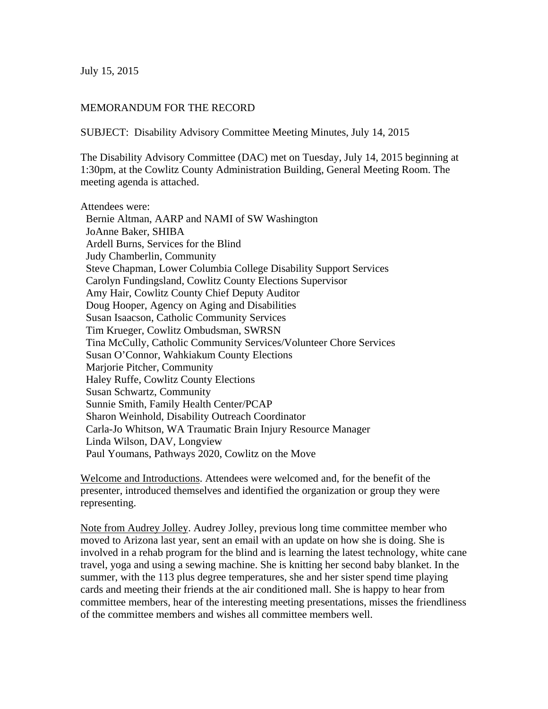July 15, 2015

## MEMORANDUM FOR THE RECORD

SUBJECT: Disability Advisory Committee Meeting Minutes, July 14, 2015

The Disability Advisory Committee (DAC) met on Tuesday, July 14, 2015 beginning at 1:30pm, at the Cowlitz County Administration Building, General Meeting Room. The meeting agenda is attached.

Attendees were: Bernie Altman, AARP and NAMI of SW Washington JoAnne Baker, SHIBA Ardell Burns, Services for the Blind Judy Chamberlin, Community Steve Chapman, Lower Columbia College Disability Support Services Carolyn Fundingsland, Cowlitz County Elections Supervisor Amy Hair, Cowlitz County Chief Deputy Auditor Doug Hooper, Agency on Aging and Disabilities Susan Isaacson, Catholic Community Services Tim Krueger, Cowlitz Ombudsman, SWRSN Tina McCully, Catholic Community Services/Volunteer Chore Services Susan O'Connor, Wahkiakum County Elections Marjorie Pitcher, Community Haley Ruffe, Cowlitz County Elections Susan Schwartz, Community Sunnie Smith, Family Health Center/PCAP Sharon Weinhold, Disability Outreach Coordinator Carla-Jo Whitson, WA Traumatic Brain Injury Resource Manager Linda Wilson, DAV, Longview Paul Youmans, Pathways 2020, Cowlitz on the Move

Welcome and Introductions. Attendees were welcomed and, for the benefit of the presenter, introduced themselves and identified the organization or group they were representing.

Note from Audrey Jolley. Audrey Jolley, previous long time committee member who moved to Arizona last year, sent an email with an update on how she is doing. She is involved in a rehab program for the blind and is learning the latest technology, white cane travel, yoga and using a sewing machine. She is knitting her second baby blanket. In the summer, with the 113 plus degree temperatures, she and her sister spend time playing cards and meeting their friends at the air conditioned mall. She is happy to hear from committee members, hear of the interesting meeting presentations, misses the friendliness of the committee members and wishes all committee members well.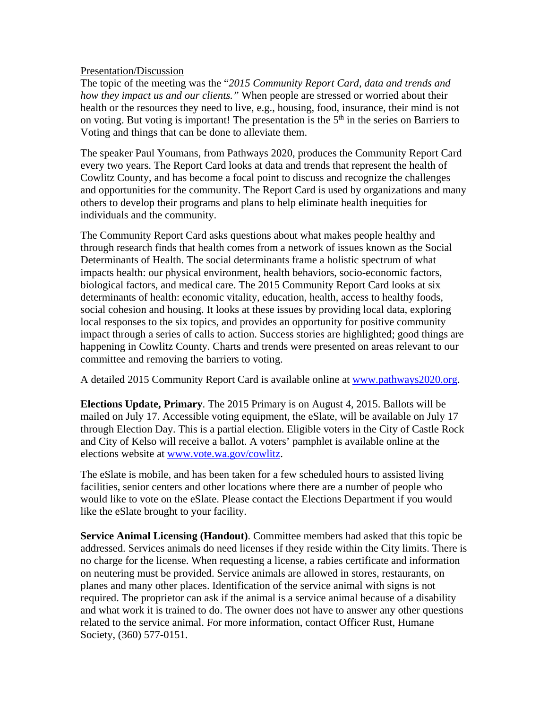## Presentation/Discussion

The topic of the meeting was the "*2015 Community Report Card, data and trends and how they impact us and our clients."* When people are stressed or worried about their health or the resources they need to live, e.g., housing, food, insurance, their mind is not on voting. But voting is important! The presentation is the  $5<sup>th</sup>$  in the series on Barriers to Voting and things that can be done to alleviate them.

The speaker Paul Youmans, from Pathways 2020, produces the Community Report Card every two years. The Report Card looks at data and trends that represent the health of Cowlitz County, and has become a focal point to discuss and recognize the challenges and opportunities for the community. The Report Card is used by organizations and many others to develop their programs and plans to help eliminate health inequities for individuals and the community.

The Community Report Card asks questions about what makes people healthy and through research finds that health comes from a network of issues known as the Social Determinants of Health. The social determinants frame a holistic spectrum of what impacts health: our physical environment, health behaviors, socio-economic factors, biological factors, and medical care. The 2015 Community Report Card looks at six determinants of health: economic vitality, education, health, access to healthy foods, social cohesion and housing. It looks at these issues by providing local data, exploring local responses to the six topics, and provides an opportunity for positive community impact through a series of calls to action. Success stories are highlighted; good things are happening in Cowlitz County. Charts and trends were presented on areas relevant to our committee and removing the barriers to voting.

A detailed 2015 Community Report Card is available online at www.pathways2020.org.

**Elections Update, Primary**. The 2015 Primary is on August 4, 2015. Ballots will be mailed on July 17. Accessible voting equipment, the eSlate, will be available on July 17 through Election Day. This is a partial election. Eligible voters in the City of Castle Rock and City of Kelso will receive a ballot. A voters' pamphlet is available online at the elections website at www.vote.wa.gov/cowlitz.

The eSlate is mobile, and has been taken for a few scheduled hours to assisted living facilities, senior centers and other locations where there are a number of people who would like to vote on the eSlate. Please contact the Elections Department if you would like the eSlate brought to your facility.

**Service Animal Licensing (Handout)**. Committee members had asked that this topic be addressed. Services animals do need licenses if they reside within the City limits. There is no charge for the license. When requesting a license, a rabies certificate and information on neutering must be provided. Service animals are allowed in stores, restaurants, on planes and many other places. Identification of the service animal with signs is not required. The proprietor can ask if the animal is a service animal because of a disability and what work it is trained to do. The owner does not have to answer any other questions related to the service animal. For more information, contact Officer Rust, Humane Society, (360) 577-0151.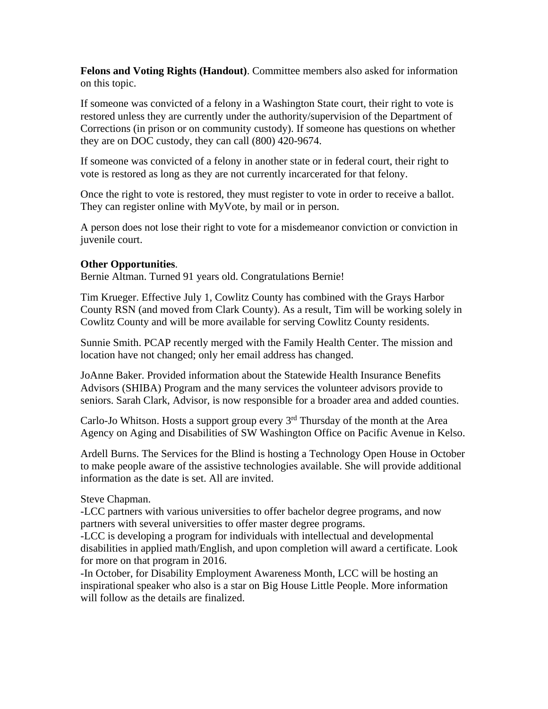**Felons and Voting Rights (Handout)**. Committee members also asked for information on this topic.

If someone was convicted of a felony in a Washington State court, their right to vote is restored unless they are currently under the authority/supervision of the Department of Corrections (in prison or on community custody). If someone has questions on whether they are on DOC custody, they can call (800) 420-9674.

If someone was convicted of a felony in another state or in federal court, their right to vote is restored as long as they are not currently incarcerated for that felony.

Once the right to vote is restored, they must register to vote in order to receive a ballot. They can register online with MyVote, by mail or in person.

A person does not lose their right to vote for a misdemeanor conviction or conviction in juvenile court.

## **Other Opportunities**.

Bernie Altman. Turned 91 years old. Congratulations Bernie!

Tim Krueger. Effective July 1, Cowlitz County has combined with the Grays Harbor County RSN (and moved from Clark County). As a result, Tim will be working solely in Cowlitz County and will be more available for serving Cowlitz County residents.

Sunnie Smith. PCAP recently merged with the Family Health Center. The mission and location have not changed; only her email address has changed.

JoAnne Baker. Provided information about the Statewide Health Insurance Benefits Advisors (SHIBA) Program and the many services the volunteer advisors provide to seniors. Sarah Clark, Advisor, is now responsible for a broader area and added counties.

Carlo-Jo Whitson. Hosts a support group every  $3<sup>rd</sup>$  Thursday of the month at the Area Agency on Aging and Disabilities of SW Washington Office on Pacific Avenue in Kelso.

Ardell Burns. The Services for the Blind is hosting a Technology Open House in October to make people aware of the assistive technologies available. She will provide additional information as the date is set. All are invited.

## Steve Chapman.

-LCC partners with various universities to offer bachelor degree programs, and now partners with several universities to offer master degree programs.

-LCC is developing a program for individuals with intellectual and developmental disabilities in applied math/English, and upon completion will award a certificate. Look for more on that program in 2016.

-In October, for Disability Employment Awareness Month, LCC will be hosting an inspirational speaker who also is a star on Big House Little People. More information will follow as the details are finalized.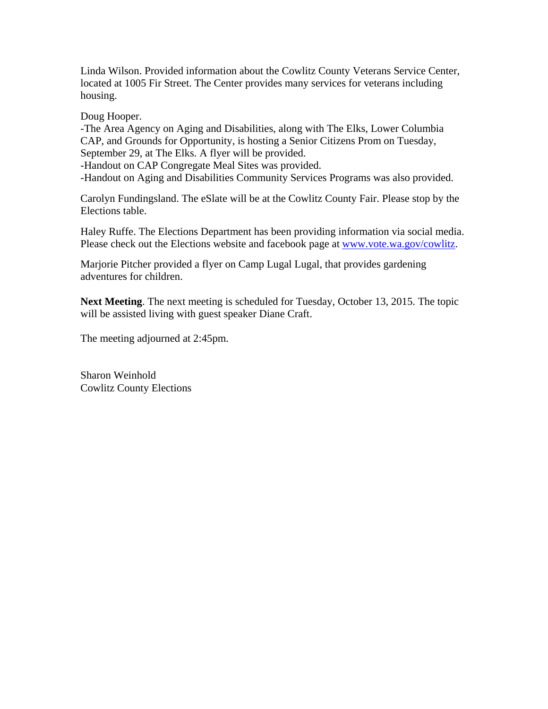Linda Wilson. Provided information about the Cowlitz County Veterans Service Center, located at 1005 Fir Street. The Center provides many services for veterans including housing.

Doug Hooper.

-The Area Agency on Aging and Disabilities, along with The Elks, Lower Columbia CAP, and Grounds for Opportunity, is hosting a Senior Citizens Prom on Tuesday, September 29, at The Elks. A flyer will be provided.

-Handout on CAP Congregate Meal Sites was provided.

-Handout on Aging and Disabilities Community Services Programs was also provided.

Carolyn Fundingsland. The eSlate will be at the Cowlitz County Fair. Please stop by the Elections table.

Haley Ruffe. The Elections Department has been providing information via social media. Please check out the Elections website and facebook page at www.vote.wa.gov/cowlitz.

Marjorie Pitcher provided a flyer on Camp Lugal Lugal, that provides gardening adventures for children.

**Next Meeting**. The next meeting is scheduled for Tuesday, October 13, 2015. The topic will be assisted living with guest speaker Diane Craft.

The meeting adjourned at 2:45pm.

Sharon Weinhold Cowlitz County Elections